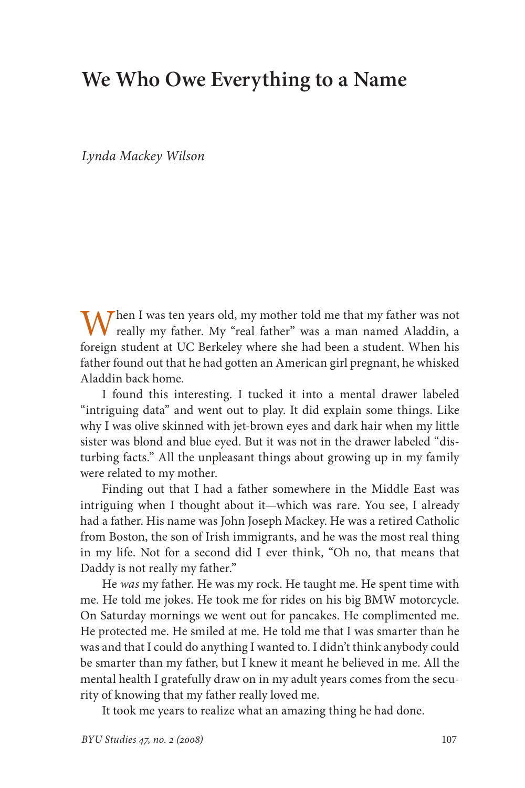## **We Who Owe Everything to a Name**

*Lynda Mackey Wilson*

When I was ten years old, my mother told me that my father was not really my father. My "real father" was a man named Aladdin, a foreign student at UC Berkeley where she had been a student. When his father found out that he had gotten an American girl pregnant, he whisked Aladdin back home.

I found this interesting. I tucked it into a mental drawer labeled "intriguing data" and went out to play. It did explain some things. Like why I was olive skinned with jet-brown eyes and dark hair when my little sister was blond and blue eyed. But it was not in the drawer labeled "disturbing facts." All the unpleasant things about growing up in my family were related to my mother.

Finding out that I had a father somewhere in the Middle East was intriguing when I thought about it—which was rare. You see, I already had a father. His name was John Joseph Mackey. He was a retired Catholic from Boston, the son of Irish immigrants, and he was the most real thing in my life. Not for a second did I ever think, "Oh no, that means that Daddy is not really my father."

He *was* my father. He was my rock. He taught me. He spent time with me. He told me jokes. He took me for rides on his big BMW motorcycle. On Saturday mornings we went out for pancakes. He complimented me. He protected me. He smiled at me. He told me that I was smarter than he was and that I could do anything I wanted to. I didn't think anybody could be smarter than my father, but I knew it meant he believed in me. All the mental health I gratefully draw on in my adult years comes from the security of knowing that my father really loved me.

It took me years to realize what an amazing thing he had done.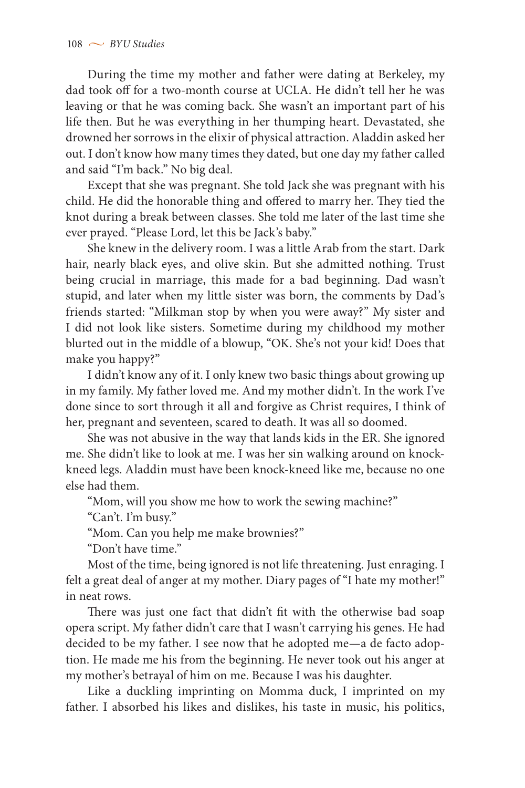During the time my mother and father were dating at Berkeley, my dad took off for a two-month course at UCLA. He didn't tell her he was leaving or that he was coming back. She wasn't an important part of his life then. But he was everything in her thumping heart. Devastated, she drowned her sorrows in the elixir of physical attraction. Aladdin asked her out. I don't know how many times they dated, but one day my father called and said "I'm back." No big deal.

Except that she was pregnant. She told Jack she was pregnant with his child. He did the honorable thing and offered to marry her. They tied the knot during a break between classes. She told me later of the last time she ever prayed. "Please Lord, let this be Jack's baby."

She knew in the delivery room. I was a little Arab from the start. Dark hair, nearly black eyes, and olive skin. But she admitted nothing. Trust being crucial in marriage, this made for a bad beginning. Dad wasn't stupid, and later when my little sister was born, the comments by Dad's friends started: "Milkman stop by when you were away?" My sister and I did not look like sisters. Sometime during my childhood my mother blurted out in the middle of a blowup, "OK. She's not your kid! Does that make you happy?"

I didn't know any of it. I only knew two basic things about growing up in my family. My father loved me. And my mother didn't. In the work I've done since to sort through it all and forgive as Christ requires, I think of her, pregnant and seventeen, scared to death. It was all so doomed.

She was not abusive in the way that lands kids in the ER. She ignored me. She didn't like to look at me. I was her sin walking around on knockkneed legs. Aladdin must have been knock-kneed like me, because no one else had them.

"Mom, will you show me how to work the sewing machine?"

"Can't. I'm busy."

"Mom. Can you help me make brownies?"

"Don't have time."

Most of the time, being ignored is not life threatening. Just enraging. I felt a great deal of anger at my mother. Diary pages of "I hate my mother!" in neat rows.

There was just one fact that didn't fit with the otherwise bad soap opera script. My father didn't care that I wasn't carrying his genes. He had decided to be my father. I see now that he adopted me—a de facto adoption. He made me his from the beginning. He never took out his anger at my mother's betrayal of him on me. Because I was his daughter.

Like a duckling imprinting on Momma duck, I imprinted on my father. I absorbed his likes and dislikes, his taste in music, his politics,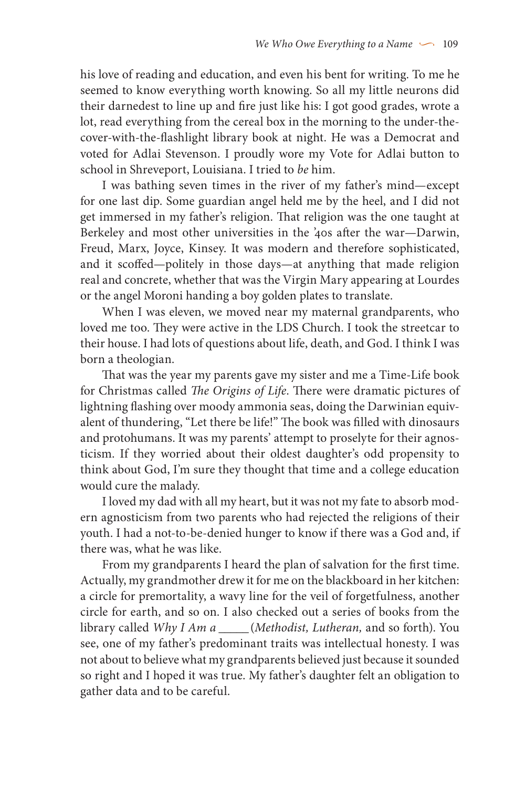his love of reading and education, and even his bent for writing. To me he seemed to know everything worth knowing. So all my little neurons did their darnedest to line up and fire just like his: I got good grades, wrote a lot, read everything from the cereal box in the morning to the under-thecover-with-the-flashlight library book at night. He was a Democrat and voted for Adlai Stevenson. I proudly wore my Vote for Adlai button to school in Shreveport, Louisiana. I tried to *be* him.

I was bathing seven times in the river of my father's mind—except for one last dip. Some guardian angel held me by the heel, and I did not get immersed in my father's religion. That religion was the one taught at Berkeley and most other universities in the '40s after the war—Darwin, Freud, Marx, Joyce, Kinsey. It was modern and therefore sophisticated, and it scoffed—politely in those days—at anything that made religion real and concrete, whether that was the Virgin Mary appearing at Lourdes or the angel Moroni handing a boy golden plates to translate.

When I was eleven, we moved near my maternal grandparents, who loved me too. They were active in the LDS Church. I took the streetcar to their house. I had lots of questions about life, death, and God. I think I was born a theologian.

That was the year my parents gave my sister and me a Time-Life book for Christmas called *The Origins of Life*. There were dramatic pictures of lightning flashing over moody ammonia seas, doing the Darwinian equivalent of thundering, "Let there be life!" The book was filled with dinosaurs and protohumans. It was my parents' attempt to proselyte for their agnosticism. If they worried about their oldest daughter's odd propensity to think about God, I'm sure they thought that time and a college education would cure the malady.

I loved my dad with all my heart, but it was not my fate to absorb modern agnosticism from two parents who had rejected the religions of their youth. I had a not-to-be-denied hunger to know if there was a God and, if there was, what he was like.

From my grandparents I heard the plan of salvation for the first time. Actually, my grandmother drew it for me on the blackboard in her kitchen: a circle for premortality, a wavy line for the veil of forgetfulness, another circle for earth, and so on. I also checked out a series of books from the library called *Why I Am a \_\_\_\_\_* (*Methodist, Lutheran,* and so forth). You see, one of my father's predominant traits was intellectual honesty. I was not about to believe what my grandparents believed just because it sounded so right and I hoped it was true. My father's daughter felt an obligation to gather data and to be careful.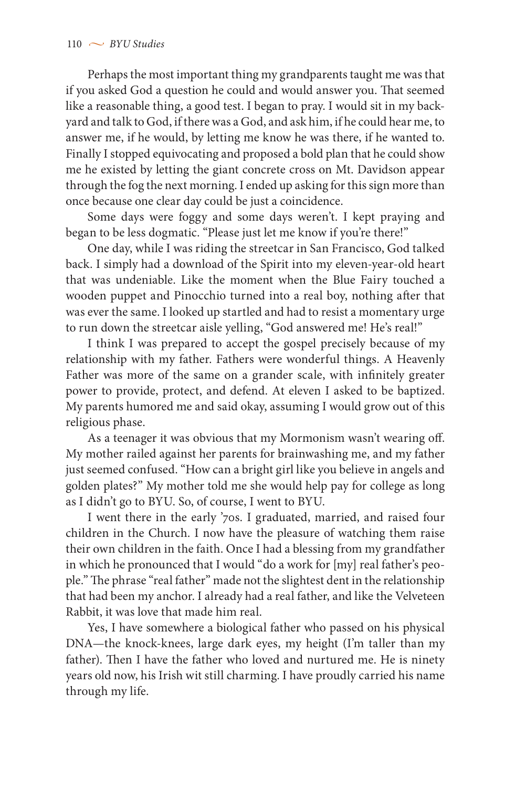Perhaps the most important thing my grandparents taught me was that if you asked God a question he could and would answer you. That seemed like a reasonable thing, a good test. I began to pray. I would sit in my backyard and talk to God, if there was a God, and ask him, if he could hear me, to answer me, if he would, by letting me know he was there, if he wanted to. Finally I stopped equivocating and proposed a bold plan that he could show me he existed by letting the giant concrete cross on Mt. Davidson appear through the fog the next morning. I ended up asking for this sign more than once because one clear day could be just a coincidence.

Some days were foggy and some days weren't. I kept praying and began to be less dogmatic. "Please just let me know if you're there!"

One day, while I was riding the streetcar in San Francisco, God talked back. I simply had a download of the Spirit into my eleven-year-old heart that was undeniable. Like the moment when the Blue Fairy touched a wooden puppet and Pinocchio turned into a real boy, nothing after that was ever the same. I looked up startled and had to resist a momentary urge to run down the streetcar aisle yelling, "God answered me! He's real!"

I think I was prepared to accept the gospel precisely because of my relationship with my father. Fathers were wonderful things. A Heavenly Father was more of the same on a grander scale, with infinitely greater power to provide, protect, and defend. At eleven I asked to be baptized. My parents humored me and said okay, assuming I would grow out of this religious phase.

As a teenager it was obvious that my Mormonism wasn't wearing off. My mother railed against her parents for brainwashing me, and my father just seemed confused. "How can a bright girl like you believe in angels and golden plates?" My mother told me she would help pay for college as long as I didn't go to BYU. So, of course, I went to BYU.

I went there in the early '70s. I graduated, married, and raised four children in the Church. I now have the pleasure of watching them raise their own children in the faith. Once I had a blessing from my grandfather in which he pronounced that I would "do a work for [my] real father's people." The phrase "real father" made not the slightest dent in the relationship that had been my anchor. I already had a real father, and like the Velveteen Rabbit, it was love that made him real.

Yes, I have somewhere a biological father who passed on his physical DNA—the knock-knees, large dark eyes, my height (I'm taller than my father). Then I have the father who loved and nurtured me. He is ninety years old now, his Irish wit still charming. I have proudly carried his name through my life.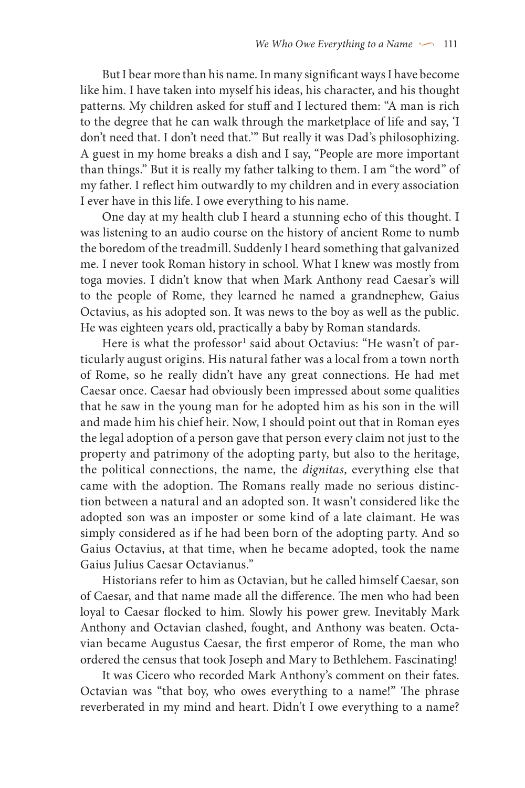But I bear more than his name. In many significant ways I have become like him. I have taken into myself his ideas, his character, and his thought patterns. My children asked for stuff and I lectured them: "A man is rich to the degree that he can walk through the marketplace of life and say, 'I don't need that. I don't need that.'" But really it was Dad's philosophizing. A guest in my home breaks a dish and I say, "People are more important than things." But it is really my father talking to them. I am "the word" of my father. I reflect him outwardly to my children and in every association I ever have in this life. I owe everything to his name.

One day at my health club I heard a stunning echo of this thought. I was listening to an audio course on the history of ancient Rome to numb the boredom of the treadmill. Suddenly I heard something that galvanized me. I never took Roman history in school. What I knew was mostly from toga movies. I didn't know that when Mark Anthony read Caesar's will to the people of Rome, they learned he named a grandnephew, Gaius Octavius, as his adopted son. It was news to the boy as well as the public. He was eighteen years old, practically a baby by Roman standards.

Here is what the professor<sup>1</sup> said about Octavius: "He wasn't of particularly august origins. His natural father was a local from a town north of Rome, so he really didn't have any great connections. He had met Caesar once. Caesar had obviously been impressed about some qualities that he saw in the young man for he adopted him as his son in the will and made him his chief heir. Now, I should point out that in Roman eyes the legal adoption of a person gave that person every claim not just to the property and patrimony of the adopting party, but also to the heritage, the political connections, the name, the *dignitas*, everything else that came with the adoption. The Romans really made no serious distinction between a natural and an adopted son. It wasn't considered like the adopted son was an imposter or some kind of a late claimant. He was simply considered as if he had been born of the adopting party. And so Gaius Octavius, at that time, when he became adopted, took the name Gaius Julius Caesar Octavianus."

Historians refer to him as Octavian, but he called himself Caesar, son of Caesar, and that name made all the difference. The men who had been loyal to Caesar flocked to him. Slowly his power grew. Inevitably Mark Anthony and Octavian clashed, fought, and Anthony was beaten. Octavian became Augustus Caesar, the first emperor of Rome, the man who ordered the census that took Joseph and Mary to Bethlehem. Fascinating!

It was Cicero who recorded Mark Anthony's comment on their fates. Octavian was "that boy, who owes everything to a name!" The phrase reverberated in my mind and heart. Didn't I owe everything to a name?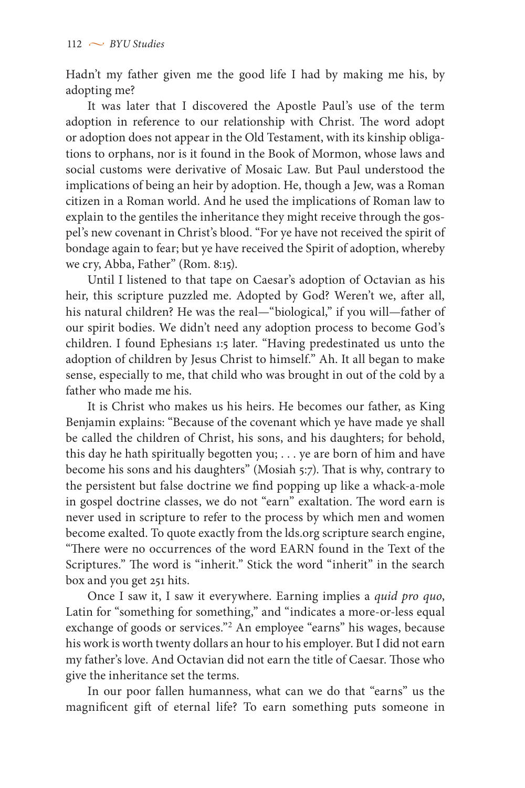Hadn't my father given me the good life I had by making me his, by adopting me?

It was later that I discovered the Apostle Paul's use of the term adoption in reference to our relationship with Christ. The word adopt or adoption does not appear in the Old Testament, with its kinship obligations to orphans, nor is it found in the Book of Mormon, whose laws and social customs were derivative of Mosaic Law. But Paul understood the implications of being an heir by adoption. He, though a Jew, was a Roman citizen in a Roman world. And he used the implications of Roman law to explain to the gentiles the inheritance they might receive through the gospel's new covenant in Christ's blood. "For ye have not received the spirit of bondage again to fear; but ye have received the Spirit of adoption, whereby we cry, Abba, Father" (Rom. 8:15).

Until I listened to that tape on Caesar's adoption of Octavian as his heir, this scripture puzzled me. Adopted by God? Weren't we, after all, his natural children? He was the real—"biological," if you will—father of our spirit bodies. We didn't need any adoption process to become God's children. I found Ephesians 1:5 later. "Having predestinated us unto the adoption of children by Jesus Christ to himself." Ah. It all began to make sense, especially to me, that child who was brought in out of the cold by a father who made me his.

It is Christ who makes us his heirs. He becomes our father, as King Benjamin explains: "Because of the covenant which ye have made ye shall be called the children of Christ, his sons, and his daughters; for behold, this day he hath spiritually begotten you; . . . ye are born of him and have become his sons and his daughters" (Mosiah 5:7). That is why, contrary to the persistent but false doctrine we find popping up like a whack-a-mole in gospel doctrine classes, we do not "earn" exaltation. The word earn is never used in scripture to refer to the process by which men and women become exalted. To quote exactly from the lds.org scripture search engine, "There were no occurrences of the word EARN found in the Text of the Scriptures." The word is "inherit." Stick the word "inherit" in the search box and you get 251 hits.

Once I saw it, I saw it everywhere. Earning implies a *quid pro quo*, Latin for "something for something," and "indicates a more-or-less equal exchange of goods or services."2 An employee "earns" his wages, because his work is worth twenty dollars an hour to his employer. But I did not earn my father's love. And Octavian did not earn the title of Caesar. Those who give the inheritance set the terms.

In our poor fallen humanness, what can we do that "earns" us the magnificent gift of eternal life? To earn something puts someone in